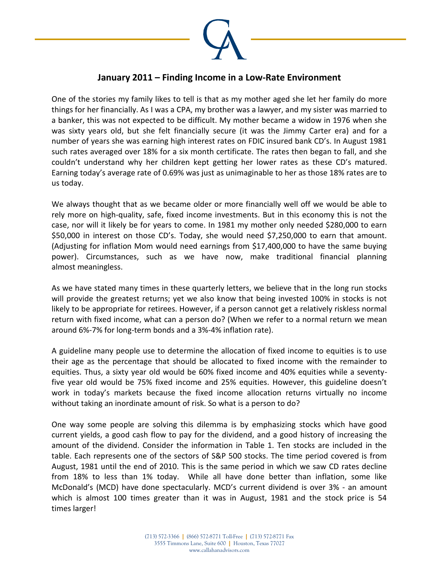

## **January 2011 – Finding Income in a Low-Rate Environment**

One of the stories my family likes to tell is that as my mother aged she let her family do more things for her financially. As I was a CPA, my brother was a lawyer, and my sister was married to a banker, this was not expected to be difficult. My mother became a widow in 1976 when she was sixty years old, but she felt financially secure (it was the Jimmy Carter era) and for a number of years she was earning high interest rates on FDIC insured bank CD's. In August 1981 such rates averaged over 18% for a six month certificate. The rates then began to fall, and she couldn't understand why her children kept getting her lower rates as these CD's matured. Earning today's average rate of 0.69% was just as unimaginable to her as those 18% rates are to us today.

We always thought that as we became older or more financially well off we would be able to rely more on high-quality, safe, fixed income investments. But in this economy this is not the case, nor will it likely be for years to come. In 1981 my mother only needed \$280,000 to earn \$50,000 in interest on those CD's. Today, she would need \$7,250,000 to earn that amount. (Adjusting for inflation Mom would need earnings from \$17,400,000 to have the same buying power). Circumstances, such as we have now, make traditional financial planning almost meaningless.

As we have stated many times in these quarterly letters, we believe that in the long run stocks will provide the greatest returns; yet we also know that being invested 100% in stocks is not likely to be appropriate for retirees. However, if a person cannot get a relatively riskless normal return with fixed income, what can a person do? (When we refer to a normal return we mean around 6%-7% for long-term bonds and a 3%-4% inflation rate).

A guideline many people use to determine the allocation of fixed income to equities is to use their age as the percentage that should be allocated to fixed income with the remainder to equities. Thus, a sixty year old would be 60% fixed income and 40% equities while a seventyfive year old would be 75% fixed income and 25% equities. However, this guideline doesn't work in today's markets because the fixed income allocation returns virtually no income without taking an inordinate amount of risk. So what is a person to do?

One way some people are solving this dilemma is by emphasizing stocks which have good current yields, a good cash flow to pay for the dividend, and a good history of increasing the amount of the dividend. Consider the information in Table 1. Ten stocks are included in the table. Each represents one of the sectors of S&P 500 stocks. The time period covered is from August, 1981 until the end of 2010. This is the same period in which we saw CD rates decline from 18% to less than 1% today. While all have done better than inflation, some like McDonald's (MCD) have done spectacularly. MCD's current dividend is over 3% - an amount which is almost 100 times greater than it was in August, 1981 and the stock price is 54 times larger!